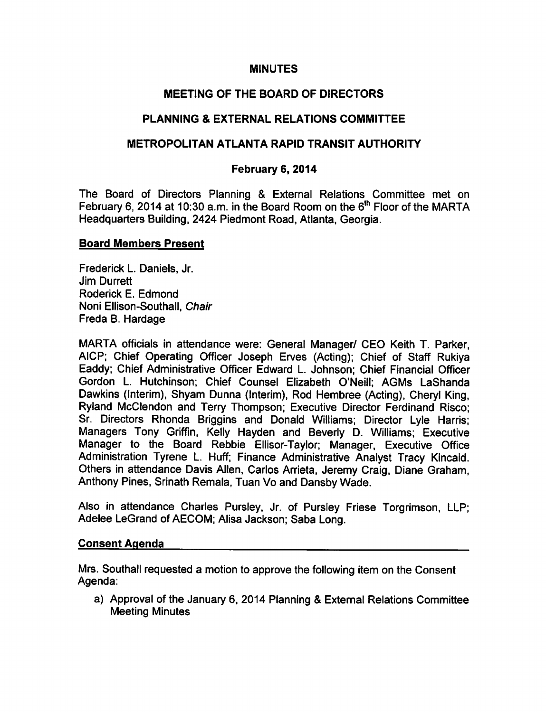## MINUTES

# MEETING OF THE BOARD OF DIRECTORS

# PLANNING & EXTERNAL RELATIONS COMMITTEE

## METROPOLITAN ATLANTA RAPID TRANSIT AUTHORITY

## February 6, 2014

The Board of Directors Planning & External Relations Committee met on February 6, 2014 at 10:30 a.m. in the Board Room on the  $6<sup>th</sup>$  Floor of the MARTA Headquarters Building, 2424 Piedmont Road, Atlanta, Georgia.

#### Board Members Present

Frederick L. Daniels, Jr. Jim Durrett Roderick E. Edmond Noni Ellison-Southall, Chair Freda B. Hardage

MARTA officials in attendance were: General Manager/ CEO Keith T. Parker, AICP; Chief Operating Officer Joseph Erves (Acting); Chief of Staff Rukiya Eaddy; Chief Administrative Officer Edward L. Johnson; Chief Financial Officer Gordon L. Hutchinson; Chief Counsel Elizabeth O'Neill; AGMs LaShanda Dawkins (Interim), Shyam Dunna (Interim), Rod Hembree (Acting), Cheryl King, Ryland McClendon and Terry Thompson; Executive Director Ferdinand Risco; Sr. Directors Rhonda Briggins and Donald Williams; Director Lyle Harris; Managers Tony Griffin, Kelly Hayden and Beverly D. Williams; Executive Manager to the Board Rebbie Ellisor-Taylor; Manager, Executive Office Administration Tyrene L. Huff; Finance Administrative Analyst Tracy Kincaid. Others in attendance Davis Allen, Carlos Arrieta, Jeremy Craig, Diane Graham, Anthony Pines, Srinath Remala, Tuan Vo and Dansby Wade.

Also in attendance Charles Pursley, Jr. of Pursley Friese Torgrimson, LLP; Adelee LeGrand of AECOM; Alisa Jackson; Saba Long.

#### Consent Agenda

Mrs. Southall requested a motion to approve the following item on the Consent Agenda:

a) Approval of the January 6, 2014 Planning & External Relations Committee Meeting Minutes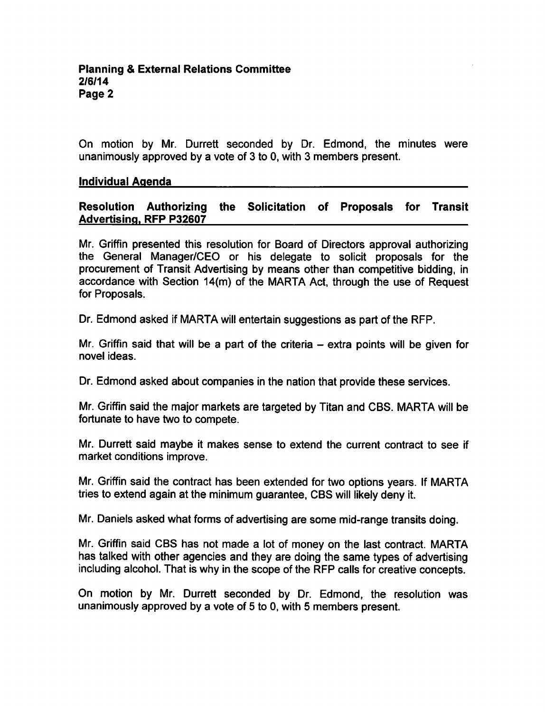On motion by Mr. Durrett seconded by Dr. Edmond, the minutes were unanimously approved by a vote of  $3$  to 0, with  $3$  members present.

#### Individual Agenda

### Resolution Authorizing the Solicitation of Proposals for Transit Advertising. RFP P32607

Mr. Griffin presented this resolution for Board of Directors approval authorizing the General Manager/CEO or his delegate to solicit proposals for the procurement of Transit Advertising by means other than competitive bidding, in accordance with Section 14(m) of the MARTA Act, through the use of Request for Proposals.

Dr. Edmond asked if MARTA will entertain suggestions as part of the RFP.

Mr. Griffin said that will be a part of the criteria  $-$  extra points will be given for novel ideas.

Dr. Edmond asked about companies in the nation that provide these services.

Mr. Griffin said the major markets are targeted by Titan and CBS. MARTA will be fortunate to have two to compete.

Mr. Durrett said maybe it makes sense to extend the current contract to see if market conditions improve.

Mr. Griffin said the contract has been extended for two options years. If MARTA tries to extend again at the minimum guarantee, CBS will likely deny it.

Mr. Daniels asked what forms of advertising are some mid-range transits doing.

Mr. Griffin said CBS has not made a lot of money on the last contract. MARTA has talked with other agencies and they are doing the same types of advertising including alcohol. That is why in the scope of the RFP calls for creative concepts.

On motion by Mr. Durrett seconded by Dr. Edmond, the resolution was unanimously approved by a vote of 5 to 0, with 5 members present.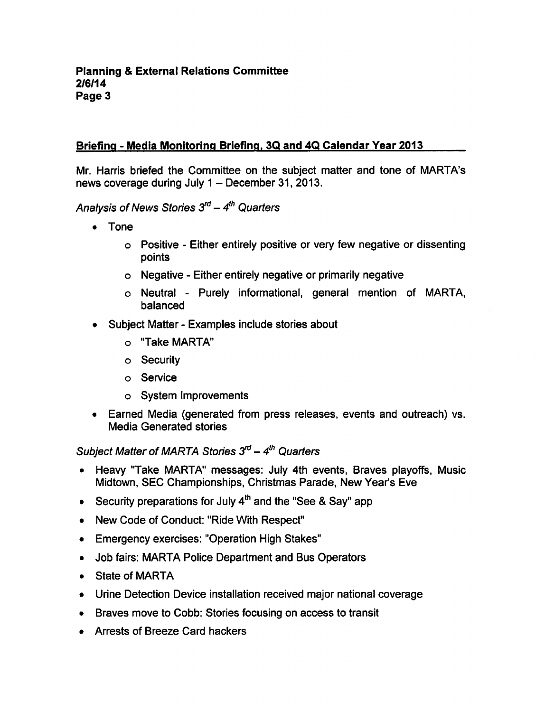# Briefing - Media Monitoring Briefing, 3Q and 4Q Calendar Year 2013

Mr. Harris briefed the Committee on the subject matter and tone of MARTA's news coverage during July  $1 -$  December 31, 2013.

Analysis of News Stories  $3<sup>rd</sup> - 4<sup>th</sup>$  Quarters

- Tone
	- Positive Either entirely positive or very few negative or dissenting points
	- Negative Either entirely negative or primarily negative
	- o Neutral Purely informational, general mention of MARTA, balanced
- Subject Matter Examples include stories about
	- "Take MARTA"
	- Security
	- Service
	- System Improvements
- Earned Media (generated from press releases, events and outreach) vs. Media Generated stories

Subject Matter of MARTA Stories  $3<sup>rd</sup> - 4<sup>th</sup>$  Quarters

- Heavy "Take MARTA" messages: July 4th events, Braves playoffs, Music  $\bullet$ Midtown, SEC Championships, Christmas Parade, New Year's Eve
- Security preparations for July  $4<sup>th</sup>$  and the "See & Say" app
- New Code of Conduct: "Ride With Respect"
- Emergency exercises: "Operation High Stakes"  $\bullet$
- Job fairs: MARTA Police Department and Bus Operators  $\bullet$
- State of MARTA
- Urine Detection Device installation received major national coverage
- Braves move to Cobb: Stories focusing on access to transit
- Arrests of Breeze Card hackers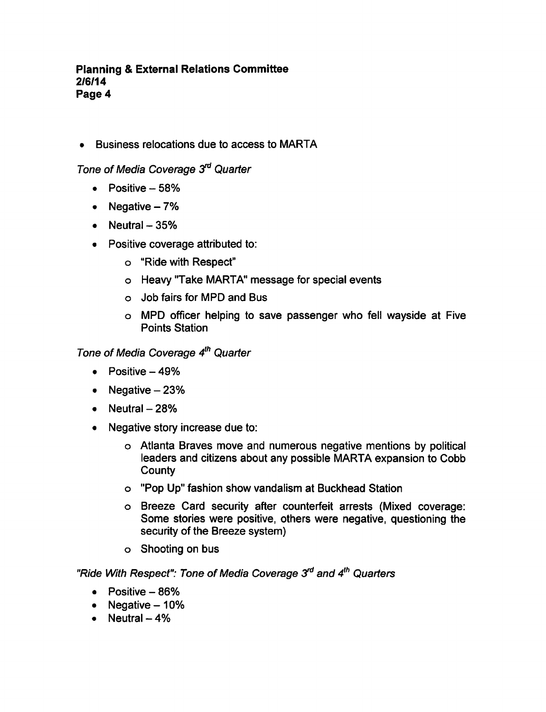#### **Planning & External Relations Committee** 2/6/14 Page 4

Business relocations due to access to MARTA

Tone of Media Coverage 3<sup>rd</sup> Quarter

- $\bullet$  Positive  $-58\%$
- Negative  $-7%$
- $\bullet$  Neutral  $-35\%$
- Positive coverage attributed to:
	- "Ride with Respect"
	- Heavy "Take MARTA" message for special events
	- Job fairs for MPD and Bus
	- MPD officer helping to save passenger who fell wayside at Five Points Station

Tone of Media Coverage 4<sup>th</sup> Quarter

- $\bullet$  Positive  $-49\%$
- Negative  $-23%$
- $\bullet$  Neutral  $-28%$
- Negative story increase due to:
	- Atlanta Braves move and numerous negative mentions by political leaders and citizens about any possible MARTA expansion to Cobb **County**
	- "Pop Up" fashion show vandalism at Buckhead Station
	- Breeze Card security after counterfeit arrests (Mixed coverage: Some stories were positive, others were negative, questioning the security of the Breeze system)
	- Shooting on bus

"Ride With Respect": Tone of Media Coverage 3<sup>rd</sup> and 4<sup>th</sup> Quarters

- $\bullet$  Positive  $-86\%$
- Negative  $-10%$
- $\bullet$  Neutral  $-4\%$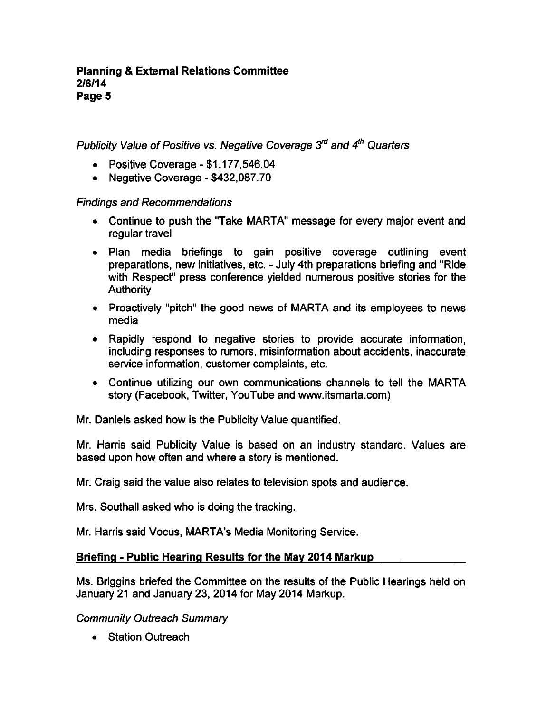Publicity Value of Positive vs. Negative Coverage  $3<sup>rd</sup>$  and  $4<sup>th</sup>$  Quarters

- Positive Coverage  $$1,177,546.04$
- Negative Coverage \$432,087.70

# Findings and Recommendations

- Continue to push the "Take MARTA" message for every major event and regular travel
- Plan media briefings to gain positive coverage outlining event preparations, new initiatives, etc. - July 4th preparations briefing and "Ride" with Respect" press conference yielded numerous positive stories for the **Authority**
- Proactively "pitch" the good news of MARTA and its employees to news media
- Rapidly respond to negative stories to provide accurate information, including responses to rumors, misinformation about accidents, inaccurate service information, customer complaints, etc.
- Continue utilizing our own communications channels to tell the MARTA story (Facebook, Twitter, YouTube and www.itsmarta.com)

Mr. Daniels asked how is the Publicity Value quantified.

Mr. Harris said Publicity Value is based on an industry standard. Values are based upon how often and where a story is mentioned.

Mr. Craig said the value also relates to television spots and audience.

Mrs. Southall asked who is doing the tracking.

Mr. Harris said Vocus, MARTA's Media Monitoring Service.

# Briefing - Public Hearing Results for the May 2014 Markup

Ms. Briggins briefed the Committee on the results of the Public Hearings held on January 21 and January 23, 2014 for May 2014 Markup.

Community Outreach Summary

• Station Outreach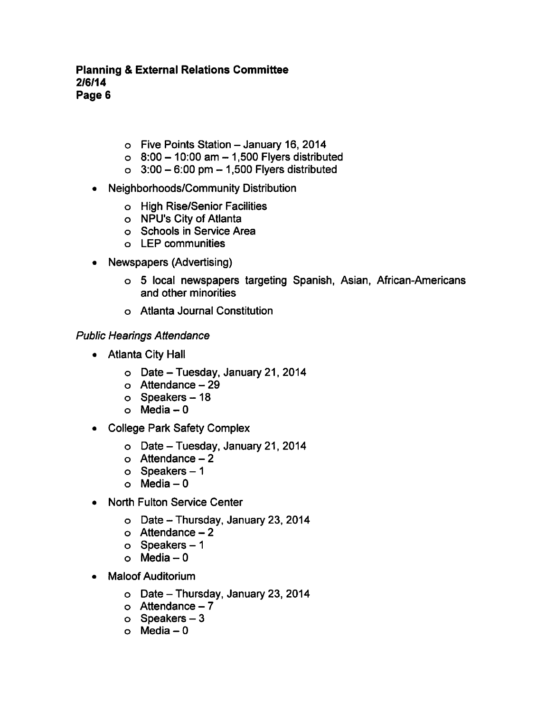### Planning External Relations Committee 2/6/14 Page 6

- $\circ$  Five Points Station January 16, 2014
- $\circ$  8:00 10:00 am 1,500 Flyers distributed
- $\circ$  3:00 6:00 pm 1,500 Flyers distributed
- Neighborhoods/Community Distribution
	- High Rise/Senior Facilities
	- NPU's City of Atlanta
	- Schools in Service Area
	- LEP communities
- Newspapers (Advertising)  $\bullet$ 
	- o 5 local newspapers targeting Spanish, Asian, African-Americans and other minorities
	- Atlanta Journal Constitution

### Public Hearings Attendance

- Atlanta City Hall
	- $\circ$  Date Tuesday, January 21, 2014
	- $\circ$  Attendance  $-29$
	- $\circ$  Speakers 18
	- $o$  Media  $-0$
- College Park Safety Complex
	- $\circ$  Date Tuesday, January 21, 2014
	- $\circ$  Attendance  $-2$
	- $o$  Speakers  $-1$
	- $o$  Media  $-0$
- North Fulton Service Center
	- $\circ$  Date Thursday, January 23, 2014
	- $\circ$  Attendance  $-2$
	- $o$  Speakers  $-1$
	- $o$  Media  $-0$
- Maloof Auditorium
	- $\circ$  Date Thursday, January 23, 2014
	- $\circ$  Attendance 7
	- $o$  Speakers  $-3$
	- $\circ$  Media  $-0$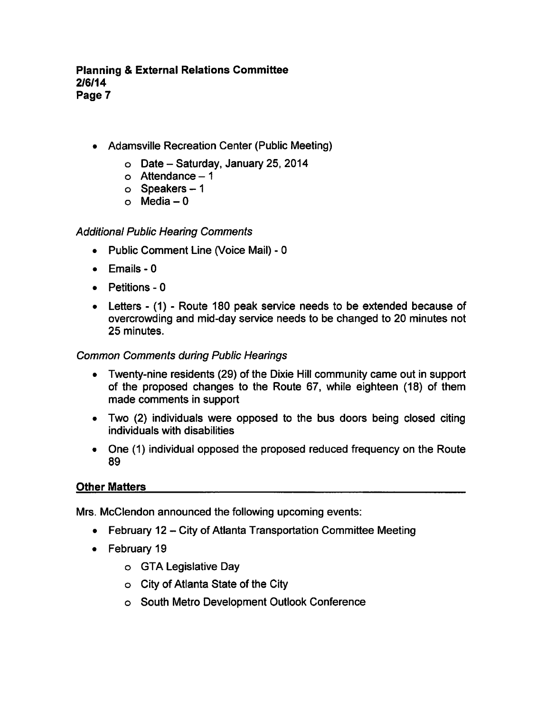### Planning External Relations Committee 2/6/14 Page 7

- Adamsville Recreation Center (Public Meeting)
	- $\circ$  Date Saturday, January 25, 2014
	- $\circ$  Attendance  $-1$
	- $o$  Speakers  $-1$
	- o Media  $-0$

## Additional Public Hearing Comments

- Public Comment Line (Voice Mail)  $\bullet$
- Emails 0  $\bullet$
- Petitions 0  $\bullet$
- Letters (1) Route 180 peak service needs to be extended because of overcrowding and mid-day service needs to be changed to 20 minutes not 25 minutes.

### Common Comments during Public Hearings

- Twenty-nine residents (29) of the Dixie Hill community came out in support of the proposed changes to the Route 67, while eighteen (18) of them made comments in support
- Two (2) individuals were opposed to the bus doors being closed citing individuals with disabilities
- One (1) individual opposed the proposed reduced frequency on the Route 89

### Other Matters

Mrs. McClendon announced the following upcoming events:

- $\bullet$  February 12 City of Atlanta Transportation Committee Meeting
- February 19
	- GTA Legislative Day
	- City of Atlanta State of the City
	- South Metro Development Outlook Conference